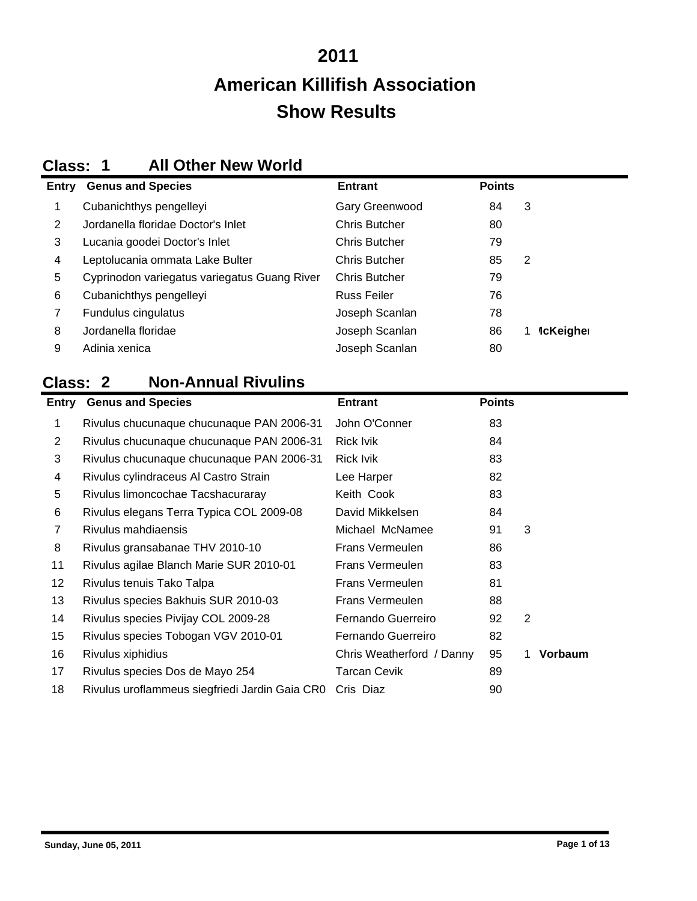## **2011 Show Results American Killifish Association**

#### **Class: 1 All Other New World**

| <b>Entry</b> | <b>Genus and Species</b>                     | <b>Entrant</b>       | <b>Points</b> |                                |
|--------------|----------------------------------------------|----------------------|---------------|--------------------------------|
|              | Cubanichthys pengelleyi                      | Gary Greenwood       | 84            | 3                              |
| 2            | Jordanella floridae Doctor's Inlet           | <b>Chris Butcher</b> | 80            |                                |
| 3            | Lucania goodei Doctor's Inlet                | <b>Chris Butcher</b> | 79            |                                |
| 4            | Leptolucania ommata Lake Bulter              | <b>Chris Butcher</b> | 85            | 2                              |
| 5            | Cyprinodon variegatus variegatus Guang River | <b>Chris Butcher</b> | 79            |                                |
| 6            | Cubanichthys pengelleyi                      | Russ Feiler          | 76            |                                |
| 7            | Fundulus cingulatus                          | Joseph Scanlan       | 78            |                                |
| 8            | Jordanella floridae                          | Joseph Scanlan       | 86            | <b><i><u>IcKeigher</u></i></b> |
| 9            | Adinia xenica                                | Joseph Scanlan       | 80            |                                |

### **Class: 2 Non-Annual Rivulins**

| Entry          | <b>Genus and Species</b>                       | <b>Entrant</b>            | <b>Points</b> |               |
|----------------|------------------------------------------------|---------------------------|---------------|---------------|
| 1              | Rivulus chucunaque chucunaque PAN 2006-31      | John O'Conner             | 83            |               |
| $\overline{2}$ | Rivulus chucunaque chucunaque PAN 2006-31      | <b>Rick Ivik</b>          | 84            |               |
| 3              | Rivulus chucunaque chucunaque PAN 2006-31      | Rick Ivik                 | 83            |               |
| 4              | Rivulus cylindraceus Al Castro Strain          | Lee Harper                | 82            |               |
| 5              | Rivulus limoncochae Tacshacuraray              | Keith Cook                | 83            |               |
| 6              | Rivulus elegans Terra Typica COL 2009-08       | David Mikkelsen           | 84            |               |
| 7              | Rivulus mahdiaensis                            | Michael McNamee           | 91            | 3             |
| 8              | Rivulus gransabanae THV 2010-10                | <b>Frans Vermeulen</b>    | 86            |               |
| 11             | Rivulus agilae Blanch Marie SUR 2010-01        | <b>Frans Vermeulen</b>    | 83            |               |
| 12             | Rivulus tenuis Tako Talpa                      | <b>Frans Vermeulen</b>    | 81            |               |
| 13             | Rivulus species Bakhuis SUR 2010-03            | <b>Frans Vermeulen</b>    | 88            |               |
| 14             | Rivulus species Pivijay COL 2009-28            | Fernando Guerreiro        | 92            | 2             |
| 15             | Rivulus species Tobogan VGV 2010-01            | Fernando Guerreiro        | 82            |               |
| 16             | Rivulus xiphidius                              | Chris Weatherford / Danny | 95            | Vorbaum<br>1. |
| 17             | Rivulus species Dos de Mayo 254                | <b>Tarcan Cevik</b>       | 89            |               |
| 18             | Rivulus uroflammeus siegfriedi Jardin Gaia CR0 | Cris Diaz                 | 90            |               |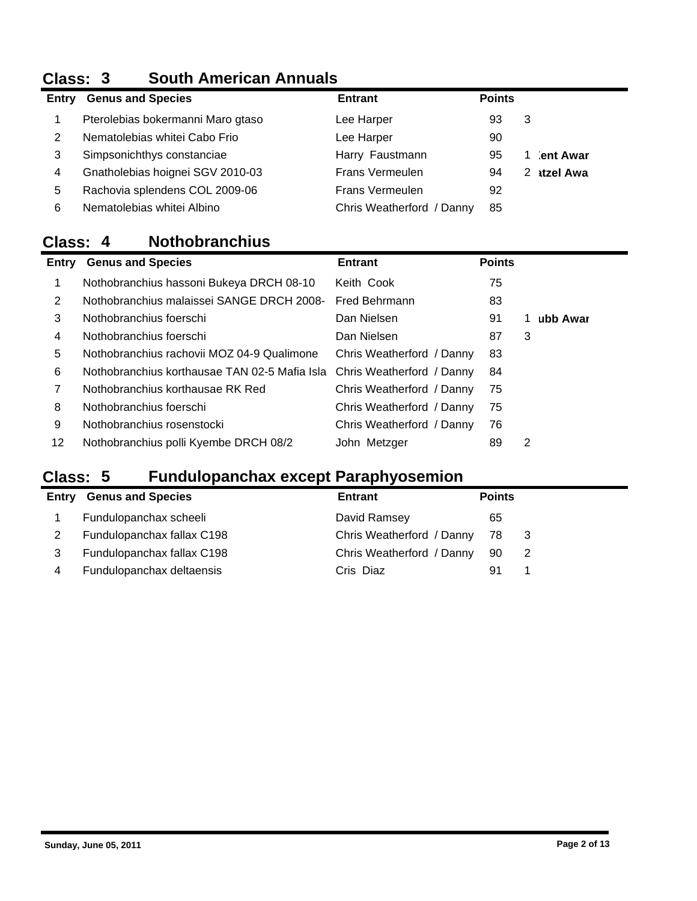# **Class: 3 South American Annuals**

| Entry | <b>Genus and Species</b>          | <b>Entrant</b>            | <b>Points</b> |   |                  |
|-------|-----------------------------------|---------------------------|---------------|---|------------------|
|       | Pterolebias bokermanni Maro gtaso | Lee Harper                | 93            | 3 |                  |
| 2     | Nematolebias whitei Cabo Frio     | Lee Harper                | 90            |   |                  |
| 3     | Simpsonichthys constanciae        | Harry Faustmann           | 95            |   | ent Awar         |
| 4     | Gnatholebias hoignei SGV 2010-03  | <b>Frans Vermeulen</b>    | 94            | 2 | <b>atzel Awa</b> |
| 5     | Rachovia splendens COL 2009-06    | <b>Frans Vermeulen</b>    | 92            |   |                  |
| 6     | Nematolebias whitei Albino        | Chris Weatherford / Danny | 85            |   |                  |

### **Class: 4 Nothobranchius**

| Entry | <b>Genus and Species</b>                      | <b>Entrant</b>            | <b>Points</b> |   |          |
|-------|-----------------------------------------------|---------------------------|---------------|---|----------|
| 1     | Nothobranchius hassoni Bukeya DRCH 08-10      | Keith Cook                | 75            |   |          |
| 2     | Nothobranchius malaissei SANGE DRCH 2008-     | <b>Fred Behrmann</b>      | 83            |   |          |
| 3     | Nothobranchius foerschi                       | Dan Nielsen               | 91            |   | ubb Awar |
| 4     | Nothobranchius foerschi                       | Dan Nielsen               | 87            | 3 |          |
| 5     | Nothobranchius rachovii MOZ 04-9 Qualimone    | Chris Weatherford / Danny | 83            |   |          |
| 6     | Nothobranchius korthausae TAN 02-5 Mafia Isla | Chris Weatherford / Danny | 84            |   |          |
| 7     | Nothobranchius korthausae RK Red              | Chris Weatherford / Danny | 75            |   |          |
| 8     | Nothobranchius foerschi                       | Chris Weatherford / Danny | 75            |   |          |
| 9     | Nothobranchius rosenstocki                    | Chris Weatherford / Danny | 76            |   |          |
| 12    | Nothobranchius polli Kyembe DRCH 08/2         | John Metzger              | 89            | 2 |          |

## **Class: 5 Fundulopanchax except Paraphyosemion**

|       |                            | <u>permeters</u> excepted on open, a common |               |     |
|-------|----------------------------|---------------------------------------------|---------------|-----|
| Entry | <b>Genus and Species</b>   | <b>Entrant</b>                              | <b>Points</b> |     |
|       | Fundulopanchax scheeli     | David Ramsey                                | 65            |     |
|       | Fundulopanchax fallax C198 | Chris Weatherford / Danny                   | 78            | - 3 |
|       | Fundulopanchax fallax C198 | Chris Weatherford / Danny                   | 90            | 2   |
| 4     | Fundulopanchax deltaensis  | Cris Diaz                                   | 91            |     |
|       |                            |                                             |               |     |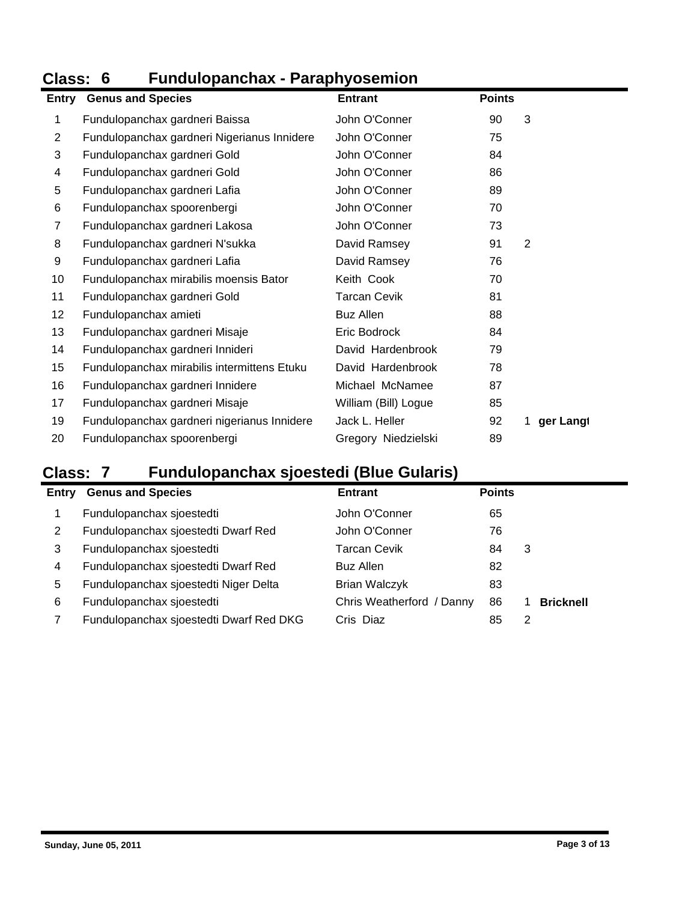### **Class: 6 Fundulopanchax - Paraphyosemion Class: 6**<br>Entry Genu

| Entry | <b>Genus and Species</b>                    | <b>Entrant</b>       | <b>Points</b> |           |
|-------|---------------------------------------------|----------------------|---------------|-----------|
| 1     | Fundulopanchax gardneri Baissa              | John O'Conner        | 90            | 3         |
| 2     | Fundulopanchax gardneri Nigerianus Innidere | John O'Conner        | 75            |           |
| 3     | Fundulopanchax gardneri Gold                | John O'Conner        | 84            |           |
| 4     | Fundulopanchax gardneri Gold                | John O'Conner        | 86            |           |
| 5     | Fundulopanchax gardneri Lafia               | John O'Conner        | 89            |           |
| 6     | Fundulopanchax spoorenbergi                 | John O'Conner        | 70            |           |
| 7     | Fundulopanchax gardneri Lakosa              | John O'Conner        | 73            |           |
| 8     | Fundulopanchax gardneri N'sukka             | David Ramsey         | 91            | 2         |
| 9     | Fundulopanchax gardneri Lafia               | David Ramsey         | 76            |           |
| 10    | Fundulopanchax mirabilis moensis Bator      | Keith Cook           | 70            |           |
| 11    | Fundulopanchax gardneri Gold                | <b>Tarcan Cevik</b>  | 81            |           |
| 12    | Fundulopanchax amieti                       | <b>Buz Allen</b>     | 88            |           |
| 13    | Fundulopanchax gardneri Misaje              | Eric Bodrock         | 84            |           |
| 14    | Fundulopanchax gardneri Innideri            | David Hardenbrook    | 79            |           |
| 15    | Fundulopanchax mirabilis intermittens Etuku | David Hardenbrook    | 78            |           |
| 16    | Fundulopanchax gardneri Innidere            | Michael McNamee      | 87            |           |
| 17    | Fundulopanchax gardneri Misaje              | William (Bill) Logue | 85            |           |
| 19    | Fundulopanchax gardneri nigerianus Innidere | Jack L. Heller       | 92            | ger Langt |
| 20    | Fundulopanchax spoorenbergi                 | Gregory Niedzielski  | 89            |           |

## **Class: 7 Fundulopanchax sjoestedi (Blue Gularis)**

| Entry | <b>Genus and Species</b>                | <b>Entrant</b>            | <b>Points</b> |                  |
|-------|-----------------------------------------|---------------------------|---------------|------------------|
|       | Fundulopanchax sjoestedti               | John O'Conner             | 65            |                  |
| 2     | Fundulopanchax sjoestedti Dwarf Red     | John O'Conner             | 76            |                  |
| 3     | Fundulopanchax sjoestedti               | Tarcan Cevik              | 84            | 3                |
| 4     | Fundulopanchax sjoestedti Dwarf Red     | Buz Allen                 | 82            |                  |
| 5     | Fundulopanchax sjoestedti Niger Delta   | Brian Walczyk             | 83            |                  |
| 6     | Fundulopanchax sjoestedti               | Chris Weatherford / Danny | 86            | <b>Bricknell</b> |
|       | Fundulopanchax sjoestedti Dwarf Red DKG | Cris Diaz                 | 85            | 2                |
|       |                                         |                           |               |                  |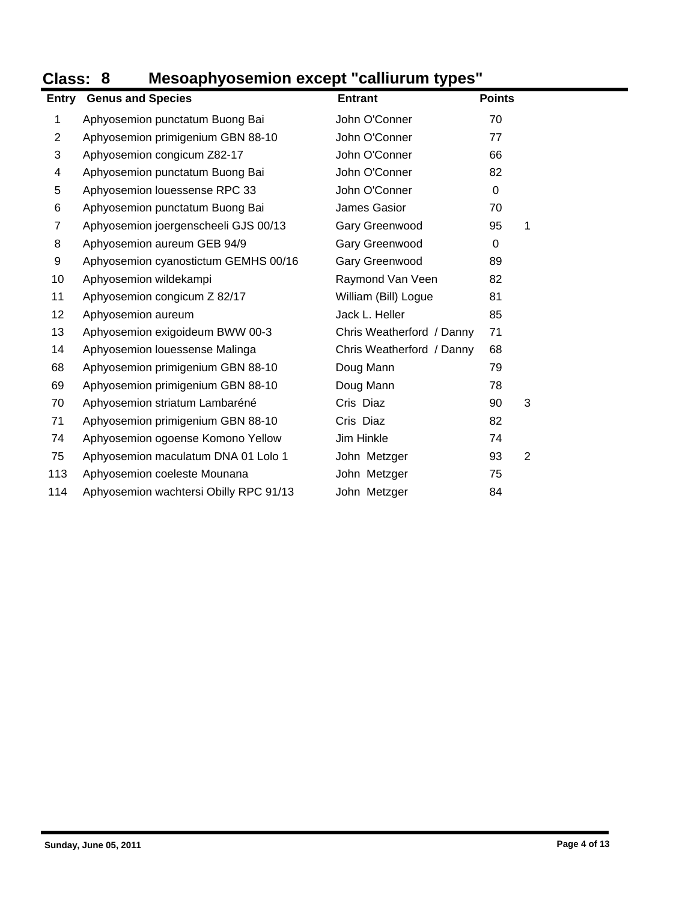## **Class: 8 Mesoaphyosemion except "calliurum types"**

| Entry          | <b>Genus and Species</b>               | <b>Entrant</b>            | <b>Points</b> |  |
|----------------|----------------------------------------|---------------------------|---------------|--|
| 1              | Aphyosemion punctatum Buong Bai        | John O'Conner             | 70            |  |
| $\overline{2}$ | Aphyosemion primigenium GBN 88-10      | John O'Conner             | 77            |  |
| 3              | Aphyosemion congicum Z82-17            | John O'Conner             | 66            |  |
| 4              | Aphyosemion punctatum Buong Bai        | John O'Conner             | 82            |  |
| 5              | Aphyosemion louessense RPC 33          | John O'Conner             | $\Omega$      |  |
| 6              | Aphyosemion punctatum Buong Bai        | James Gasior              | 70            |  |
| 7              | Aphyosemion joergenscheeli GJS 00/13   | Gary Greenwood            | 95<br>1       |  |
| 8              | Aphyosemion aureum GEB 94/9            | Gary Greenwood            | 0             |  |
| 9              | Aphyosemion cyanostictum GEMHS 00/16   | Gary Greenwood            | 89            |  |
| 10             | Aphyosemion wildekampi                 | Raymond Van Veen          | 82            |  |
| 11             | Aphyosemion congicum Z 82/17           | William (Bill) Logue      | 81            |  |
| 12             | Aphyosemion aureum                     | Jack L. Heller            | 85            |  |
| 13             | Aphyosemion exigoideum BWW 00-3        | Chris Weatherford / Danny | 71            |  |
| 14             | Aphyosemion louessense Malinga         | Chris Weatherford / Danny | 68            |  |
| 68             | Aphyosemion primigenium GBN 88-10      | Doug Mann                 | 79            |  |
| 69             | Aphyosemion primigenium GBN 88-10      | Doug Mann                 | 78            |  |
| 70             | Aphyosemion striatum Lambaréné         | Cris Diaz                 | 90<br>3       |  |
| 71             | Aphyosemion primigenium GBN 88-10      | Cris Diaz                 | 82            |  |
| 74             | Aphyosemion ogoense Komono Yellow      | Jim Hinkle                | 74            |  |
| 75             | Aphyosemion maculatum DNA 01 Lolo 1    | John Metzger              | 93<br>2       |  |
| 113            | Aphyosemion coeleste Mounana           | John Metzger              | 75            |  |
| 114            | Aphyosemion wachtersi Obilly RPC 91/13 | John Metzger              | 84            |  |
|                |                                        |                           |               |  |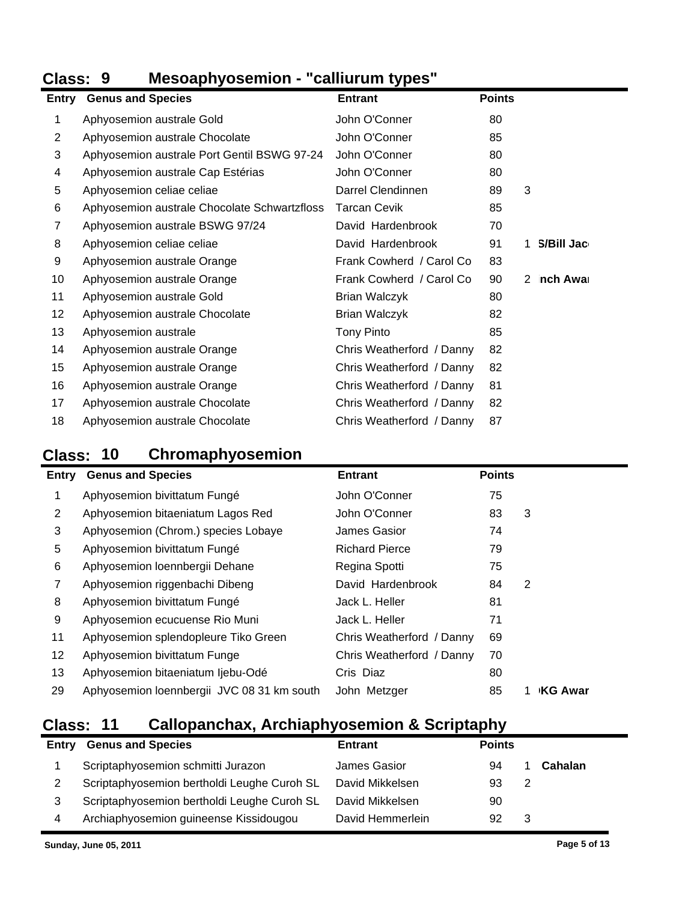## **Class: 9 Mesoaphyosemion - "calliurum types"**

| <b>Entry</b> | <b>Genus and Species</b>                     | <b>Entrant</b>            | <b>Points</b> |                 |  |
|--------------|----------------------------------------------|---------------------------|---------------|-----------------|--|
| 1            | Aphyosemion australe Gold                    | John O'Conner             | 80            |                 |  |
| 2            | Aphyosemion australe Chocolate               | John O'Conner             | 85            |                 |  |
| 3            | Aphyosemion australe Port Gentil BSWG 97-24  | John O'Conner             | 80            |                 |  |
| 4            | Aphyosemion australe Cap Estérias            | John O'Conner             | 80            |                 |  |
| 5            | Aphyosemion celiae celiae                    | Darrel Clendinnen         | 89            | 3               |  |
| 6            | Aphyosemion australe Chocolate Schwartzfloss | <b>Tarcan Cevik</b>       | 85            |                 |  |
| 7            | Aphyosemion australe BSWG 97/24              | David Hardenbrook         | 70            |                 |  |
| 8            | Aphyosemion celiae celiae                    | David Hardenbrook         | 91            | S/Bill Jac<br>1 |  |
| 9            | Aphyosemion australe Orange                  | Frank Cowherd / Carol Co  | 83            |                 |  |
| 10           | Aphyosemion australe Orange                  | Frank Cowherd / Carol Co  | 90            | nch Awar<br>2   |  |
| 11           | Aphyosemion australe Gold                    | <b>Brian Walczyk</b>      | 80            |                 |  |
| 12           | Aphyosemion australe Chocolate               | Brian Walczyk             | 82            |                 |  |
| 13           | Aphyosemion australe                         | <b>Tony Pinto</b>         | 85            |                 |  |
| 14           | Aphyosemion australe Orange                  | Chris Weatherford / Danny | 82            |                 |  |
| 15           | Aphyosemion australe Orange                  | Chris Weatherford / Danny | 82            |                 |  |
| 16           | Aphyosemion australe Orange                  | Chris Weatherford / Danny | 81            |                 |  |
| 17           | Aphyosemion australe Chocolate               | Chris Weatherford / Danny | 82            |                 |  |
| 18           | Aphyosemion australe Chocolate               | Chris Weatherford / Danny | 87            |                 |  |

## **Class: 10 Chromaphyosemion**

| Entry | <b>Genus and Species</b>                   | <b>Entrant</b>            | <b>Points</b> |                |
|-------|--------------------------------------------|---------------------------|---------------|----------------|
|       | Aphyosemion bivittatum Fungé               | John O'Conner             | 75            |                |
| 2     | Aphyosemion bitaeniatum Lagos Red          | John O'Conner             | 83            | 3              |
| 3     | Aphyosemion (Chrom.) species Lobaye        | James Gasior              | 74            |                |
| 5     | Aphyosemion bivittatum Fungé               | <b>Richard Pierce</b>     | 79            |                |
| 6     | Aphyosemion loennbergii Dehane             | Regina Spotti             | 75            |                |
| 7     | Aphyosemion riggenbachi Dibeng             | David Hardenbrook         | 84            | 2              |
| 8     | Aphyosemion bivittatum Fungé               | Jack L. Heller            | 81            |                |
| 9     | Aphyosemion ecucuense Rio Muni             | Jack L. Heller            | 71            |                |
| 11    | Aphyosemion splendopleure Tiko Green       | Chris Weatherford / Danny | 69            |                |
| 12    | Aphyosemion bivittatum Funge               | Chris Weatherford / Danny | 70            |                |
| 13    | Aphyosemion bitaeniatum ljebu-Odé          | Cris Diaz                 | 80            |                |
| 29    | Aphyosemion loennbergii JVC 08 31 km south | John Metzger              | 85            | <b>KG Awar</b> |

### **Class: 11 Callopanchax, Archiaphyosemion & Scriptaphy**

| Entry | <b>Genus and Species</b>                    | <b>Entrant</b>   | <b>Points</b> |   |         |
|-------|---------------------------------------------|------------------|---------------|---|---------|
|       | Scriptaphyosemion schmitti Jurazon          | James Gasior     | 94            |   | Cahalan |
|       | Scriptaphyosemion bertholdi Leughe Curoh SL | David Mikkelsen  | 93            | 2 |         |
|       | Scriptaphyosemion bertholdi Leughe Curoh SL | David Mikkelsen  | 90            |   |         |
| 4     | Archiaphyosemion guineense Kissidougou      | David Hemmerlein | 92            | 3 |         |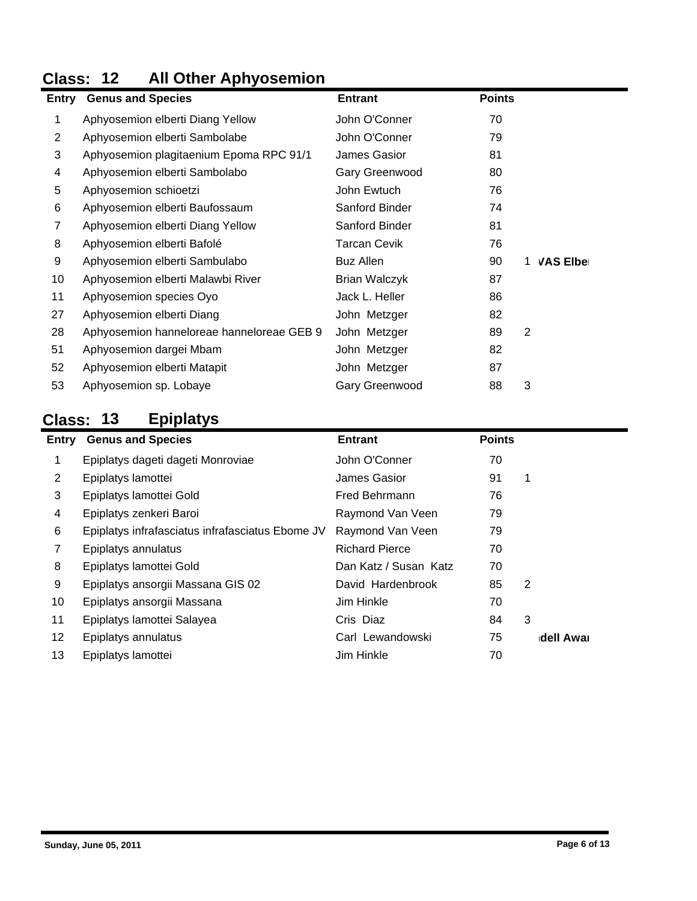### **Class: 12 All Other Aphyosemion**

|    | <b>Entry</b> Genus and Species            | <b>Entrant</b>      | <b>Points</b> |                       |
|----|-------------------------------------------|---------------------|---------------|-----------------------|
| 1  | Aphyosemion elberti Diang Yellow          | John O'Conner       | 70            |                       |
| 2  | Aphyosemion elberti Sambolabe             | John O'Conner       | 79            |                       |
| 3  | Aphyosemion plagitaenium Epoma RPC 91/1   | James Gasior        | 81            |                       |
| 4  | Aphyosemion elberti Sambolabo             | Gary Greenwood      | 80            |                       |
| 5  | Aphyosemion schioetzi                     | John Ewtuch         | 76            |                       |
| 6  | Aphyosemion elberti Baufossaum            | Sanford Binder      | 74            |                       |
| 7  | Aphyosemion elberti Diang Yellow          | Sanford Binder      | 81            |                       |
| 8  | Aphyosemion elberti Bafolé                | <b>Tarcan Cevik</b> | 76            |                       |
| 9  | Aphyosemion elberti Sambulabo             | <b>Buz Allen</b>    | 90            | <b>VAS Elber</b><br>1 |
| 10 | Aphyosemion elberti Malawbi River         | Brian Walczyk       | 87            |                       |
| 11 | Aphyosemion species Oyo                   | Jack L. Heller      | 86            |                       |
| 27 | Aphyosemion elberti Diang                 | John Metzger        | 82            |                       |
| 28 | Aphyosemion hanneloreae hanneloreae GEB 9 | John Metzger        | 89            | $\overline{2}$        |
| 51 | Aphyosemion dargei Mbam                   | John Metzger        | 82            |                       |
| 52 | Aphyosemion elberti Matapit               | John Metzger        | 87            |                       |
| 53 | Aphyosemion sp. Lobaye                    | Gary Greenwood      | 88            | 3                     |

# **Class: 13 Epiplatys**

|       | r - r - - - <i>j</i> -                           |                       |               |           |  |  |  |
|-------|--------------------------------------------------|-----------------------|---------------|-----------|--|--|--|
| Entry | <b>Genus and Species</b>                         | <b>Entrant</b>        | <b>Points</b> |           |  |  |  |
| 1     | Epiplatys dageti dageti Monroviae                | John O'Conner         | 70            |           |  |  |  |
| 2     | Epiplatys lamottei                               | James Gasior          | 91            | 1         |  |  |  |
| 3     | Epiplatys lamottei Gold                          | Fred Behrmann         | 76            |           |  |  |  |
| 4     | Epiplatys zenkeri Baroi                          | Raymond Van Veen      | 79            |           |  |  |  |
| 6     | Epiplatys infrafasciatus infrafasciatus Ebome JV | Raymond Van Veen      | 79            |           |  |  |  |
| 7     | Epiplatys annulatus                              | <b>Richard Pierce</b> | 70            |           |  |  |  |
| 8     | Epiplatys lamottei Gold                          | Dan Katz / Susan Katz | 70            |           |  |  |  |
| 9     | Epiplatys ansorgii Massana GIS 02                | David Hardenbrook     | 85            | 2         |  |  |  |
| 10    | Epiplatys ansorgii Massana                       | Jim Hinkle            | 70            |           |  |  |  |
| 11    | Epiplatys lamottei Salayea                       | Cris Diaz             | 84            | 3         |  |  |  |
| 12    | Epiplatys annulatus                              | Carl Lewandowski      | 75            | dell Awar |  |  |  |
| 13    | Epiplatys lamottei                               | Jim Hinkle            | 70            |           |  |  |  |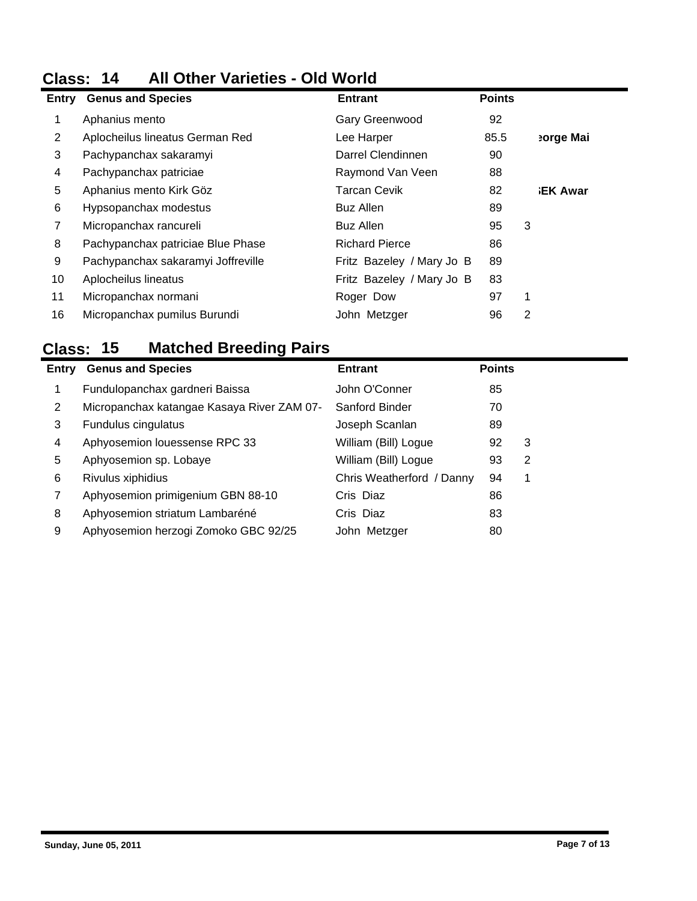# **Class: 14 All Other Varieties - Old World**

| Entry | <b>Genus and Species</b>           | <b>Entrant</b>            | <b>Points</b> |                |
|-------|------------------------------------|---------------------------|---------------|----------------|
| 1     | Aphanius mento                     | Gary Greenwood            | 92            |                |
| 2     | Aplocheilus lineatus German Red    | Lee Harper                | 85.5          | eorge Mai      |
| 3     | Pachypanchax sakaramyi             | Darrel Clendinnen         | 90            |                |
| 4     | Pachypanchax patriciae             | Raymond Van Veen          | 88            |                |
| 5     | Aphanius mento Kirk Göz            | <b>Tarcan Cevik</b>       | 82            | <b>EK Awar</b> |
| 6     | Hypsopanchax modestus              | Buz Allen                 | 89            |                |
| 7     | Micropanchax rancureli             | <b>Buz Allen</b>          | 95            | 3              |
| 8     | Pachypanchax patriciae Blue Phase  | <b>Richard Pierce</b>     | 86            |                |
| 9     | Pachypanchax sakaramyi Joffreville | Fritz Bazeley / Mary Jo B | 89            |                |
| 10    | Aplocheilus lineatus               | Fritz Bazeley / Mary Jo B | 83            |                |
| 11    | Micropanchax normani               | Roger Dow                 | 97            | 1              |
| 16    | Micropanchax pumilus Burundi       | John Metzger              | 96            | 2              |
|       |                                    |                           |               |                |

### **Class: 15 Matched Breeding Pairs**

| Entry | <b>Genus and Species</b>                   | <b>Entrant</b>            | <b>Points</b> |   |
|-------|--------------------------------------------|---------------------------|---------------|---|
|       | Fundulopanchax gardneri Baissa             | John O'Conner             | 85            |   |
| 2     | Micropanchax katangae Kasaya River ZAM 07- | Sanford Binder            | 70            |   |
| 3     | Fundulus cingulatus                        | Joseph Scanlan            | 89            |   |
| 4     | Aphyosemion louessense RPC 33              | William (Bill) Logue      | 92            | 3 |
| 5     | Aphyosemion sp. Lobaye                     | William (Bill) Logue      | 93            | 2 |
| 6     | Rivulus xiphidius                          | Chris Weatherford / Danny | 94            | 1 |
|       | Aphyosemion primigenium GBN 88-10          | Cris Diaz                 | 86            |   |
| 8     | Aphyosemion striatum Lambaréné             | Cris Diaz                 | 83            |   |
| 9     | Aphyosemion herzogi Zomoko GBC 92/25       | John Metzger              | 80            |   |